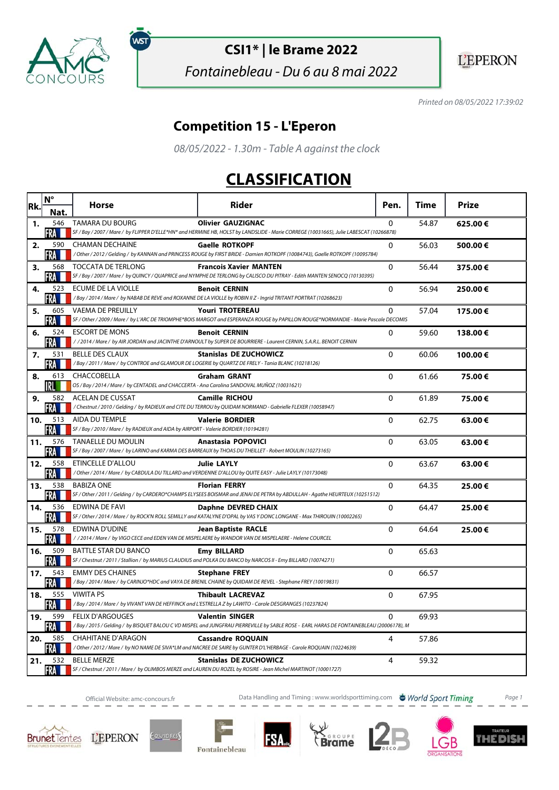

์พร

# **CSI1\* | le Brame 2022**

Fontainebleau - Du 6 au 8 mai 2022

**L'EPERON** 

Printed on 08/05/2022 17:39:02

#### **Competition 15 - L'Eperon**

08/05/2022 - 1.30m - Table A against the clock

### **CLASSIFICATION**

| Rk. | $N^{\circ}$         | <b>Horse</b>                                                                                                            | Rider                                                                                                                                                               | Pen.         | Time  | <b>Prize</b> |
|-----|---------------------|-------------------------------------------------------------------------------------------------------------------------|---------------------------------------------------------------------------------------------------------------------------------------------------------------------|--------------|-------|--------------|
|     | Nat                 |                                                                                                                         |                                                                                                                                                                     |              |       |              |
| 1.  | 546<br>FRA          | <b>TAMARA DU BOURG</b>                                                                                                  | <b>Olivier GAUZIGNAC</b><br>SF / Bay / 2007 / Mare / by FLIPPER D'ELLE*HN* and HERMINE HB, HOLST by LANDSLIDE - Marie CORREGE (10031665), Julie LABESCAT (10266878) | $\mathbf{0}$ | 54.87 | 625.00€      |
| 2.  | 590                 | <b>CHAMAN DECHAINE</b>                                                                                                  | <b>Gaelle ROTKOPF</b>                                                                                                                                               | $\Omega$     | 56.03 | 500.00€      |
|     | FRA                 |                                                                                                                         | /Other/2012/Gelding/ by KANNAN and PRINCESS ROUGE by FIRST BRIDE - Damien ROTKOPF (10084743), Gaelle ROTKOPF (10095784)                                             |              |       |              |
| 3.  | 568                 | <b>TOCCATA DE TERLONG</b>                                                                                               | <b>Francois Xavier MANTEN</b>                                                                                                                                       | $\Omega$     | 56.44 | 375.00€      |
|     | FRA                 |                                                                                                                         | SF / Bay / 2007 / Mare / by QUINCY / QUAPRICE and NYMPHE DE TERLONG by CALISCO DU PITRAY - Edith MANTEN SENOCQ (10130395)                                           |              |       |              |
| 4.  | 523<br>FRA          | <b>ECUME DE LA VIOLLE</b>                                                                                               | <b>Benoit CERNIN</b><br>/Bay / 2014 / Mare / by NABAB DE REVE and ROXANNE DE LA VIOLLE by ROBIN II Z - Ingrid TRITANT PORTRAT (10268623)                            | 0            | 56.94 | 250.00€      |
| 5.  | 605                 | VAEMA DE PREUILLY                                                                                                       | <b>Youri TROTEREAU</b>                                                                                                                                              | $\Omega$     | 57.04 | 175.00€      |
|     | FRA                 |                                                                                                                         | SF / Other / 2009 / Mare / by L'ARC DE TRIOMPHE*BOIS MARGOT and ESPERANZA ROUGE by PAPILLON ROUGE*NORMANDIE - Marie Pascale DECOMIS                                 |              |       |              |
| 6.  | 524                 | <b>ESCORT DE MONS</b>                                                                                                   | <b>Benoit CERNIN</b>                                                                                                                                                | $\mathbf{0}$ | 59.60 | 138.00€      |
|     | FRA                 |                                                                                                                         | //2014/Mare/by AIR JORDAN and JACINTHE D'ARNOULT by SUPER DE BOURRIERE - Laurent CERNIN, S.A.R.L. BENOIT CERNIN                                                     |              |       |              |
| 7.  | 531<br>FRA          | <b>BELLE DES CLAUX</b><br>/Bay/2011/Mare/ by CONTROE and GLAMOUR DE LOGERIE by QUARTZ DE FRELY - Tania BLANC (10218126) | <b>Stanislas DE ZUCHOWICZ</b>                                                                                                                                       | $\mathbf{0}$ | 60.06 | 100.00€      |
| 8.  | 613                 | CHACCOBELLA                                                                                                             | <b>Graham GRANT</b>                                                                                                                                                 | 0            | 61.66 | 75.00€       |
|     |                     | OS / Bay / 2014 / Mare / by CENTADEL and CHACCERTA - Ana Carolina SANDOVAL MUÑOZ (10031621)                             |                                                                                                                                                                     |              |       |              |
| 9.  | 582                 | ACELAN DE CUSSAT                                                                                                        | <b>Camille RICHOU</b>                                                                                                                                               | $\Omega$     | 61.89 | 75.00€       |
|     | FRA                 |                                                                                                                         | /Chestnut / 2010 / Gelding / by RADIEUX and CITE DU TERROU by QUIDAM NORMAND - Gabrielle FLEXER (10058947)                                                          |              |       |              |
| 10. | 513<br>FRA          | AIDA DU TEMPLE<br>SF / Bay / 2010 / Mare / by RADIEUX and AIDA by AIRPORT - Valerie BORDIER (10194281)                  | <b>Valerie BORDIER</b>                                                                                                                                              | 0            | 62.75 | 63.00€       |
| 11. | 576                 | TANAELLE DU MOULIN                                                                                                      | <b>Anastasia POPOVICI</b>                                                                                                                                           | 0            | 63.05 | 63.00€       |
|     | FRA I               |                                                                                                                         | SF / Bay / 2007 / Mare / by LARINO and KARMA DES BARREAUX by THOAS DU THEILLET - Robert MOULIN (10273165)                                                           |              |       |              |
| 12. | 558                 | ETINCELLE D'ALLOU                                                                                                       | <b>Julie LAYLY</b>                                                                                                                                                  | 0            | 63.67 | 63.00€       |
|     | FRA                 |                                                                                                                         | / Other / 2014 / Mare / by CABDULA DU TILLARD and VERDENNE D'ALLOU by QUITE EASY - Julie LAYLY (10173048)                                                           |              |       |              |
| 13. | 538<br>FRA          | <b>BABIZA ONE</b>                                                                                                       | <b>Florian FERRY</b><br>SF / Other / 2011 / Gelding / by CARDERO*CHAMPS ELYSEES BOISMAR and JENAI DE PETRA by ABDULLAH - Agathe HEURTEUX (10251512)                 | 0            | 64.35 | 25.00€       |
| 14. | 536                 | EDWINA DE FAVI                                                                                                          | Daphne DEVRED CHAIX                                                                                                                                                 | 0            | 64.47 | 25.00€       |
|     | FRA III             |                                                                                                                         | SF / Other / 2014 / Mare / by ROCK'N ROLL SEMILLY and KATALYNE D'OPAL by VAS Y DONC LONGANE - Max THIROUIN (10002265)                                               |              |       |              |
| 15. | 578                 | EDWINA D'UDINE                                                                                                          | <b>Jean Baptiste RACLE</b>                                                                                                                                          | 0            | 64.64 | 25.00€       |
|     | FRA II              |                                                                                                                         | / / 2014 / Mare / by VIGO CECE and EDEN VAN DE MISPELAERE by WANDOR VAN DE MISPELAERE - Helene COURCEL                                                              |              |       |              |
| 16. | 509<br>FRA          | BATTLE STAR DU BANCO                                                                                                    | <b>Emy BILLARD</b><br>SF / Chestnut / 2011 / Stallion / by MARIUS CLAUDIUS and POLKA DU BANCO by NARCOS II - Emy BILLARD (10074271)                                 | $\Omega$     | 65.63 |              |
| 17. | 543                 | <b>EMMY DES CHAINES</b>                                                                                                 | <b>Stephane FREY</b>                                                                                                                                                | $\Omega$     | 66.57 |              |
|     | FRA                 |                                                                                                                         | /Bay / 2014 / Mare / by CARINJO*HDC and VAYA DE BRENIL CHAINE by QUIDAM DE REVEL - Stephane FREY (10019831)                                                         |              |       |              |
| 18. | 555                 | <b>VIWITA PS</b>                                                                                                        | <b>Thibault LACREVAZ</b>                                                                                                                                            | 0            | 67.95 |              |
|     | FRA M               |                                                                                                                         | /Bay/2014/Mare/ by VIVANT VAN DE HEFFINCK and L'ESTRELLA Z by LAWITO - Carole DESGRANGES (10237824)                                                                 |              |       |              |
| 19. | 599<br><b>FRAME</b> | <b>FELIX D'ARGOUGES</b>                                                                                                 | <b>Valentin SINGER</b><br>/Bay / 2015 / Gelding / by BISQUET BALOU C VD MISPEL and JUNGFRAU PIERREVILLE by SABLE ROSE - EARL HARAS DE FONTAINEBLEAU (20006178), M   | 0            | 69.93 |              |
| 20. | 585                 | CHAHITANE D'ARAGON                                                                                                      | <b>Cassandre ROQUAIN</b>                                                                                                                                            | 4            | 57.86 |              |
|     | FRA                 |                                                                                                                         | / Other / 2012 / Mare / by NO NAME DE SIVA*LM and NACREE DE SAIRE by GUNTER D'L'HERBAGE - Carole ROQUAIN (10224639)                                                 |              |       |              |
| 21. | 532                 | <b>BELLE MERZE</b>                                                                                                      | <b>Stanislas DE ZUCHOWICZ</b>                                                                                                                                       | 4            | 59.32 |              |
|     | FRA <b>II</b>       |                                                                                                                         | SF / Chestnut / 2011 / Mare / by OLIMBOS MERZE and LAUREN DU ROZEL by ROSIRE - Jean Michel MARTINOT (10001727)                                                      |              |       |              |

Official Website: amc-concours.fr **Data Handling and Timing : www.worldsporttiming.com World Sport Timing** Page 1



HEDISI











IМ

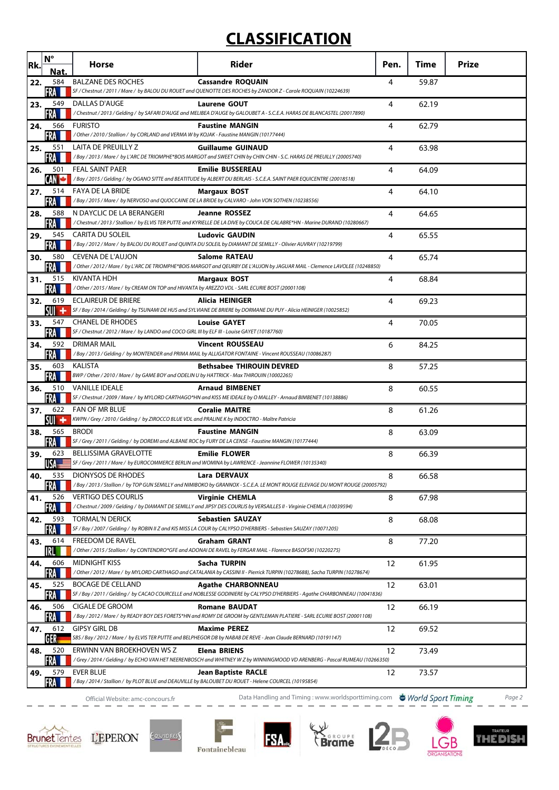## **CLASSIFICATION**

| Rk. | $\mathsf{N}^\circ$ | Horse                                                                                                                                  | Rider                                                                                                                                                     | Pen. | Time  | <b>Prize</b> |
|-----|--------------------|----------------------------------------------------------------------------------------------------------------------------------------|-----------------------------------------------------------------------------------------------------------------------------------------------------------|------|-------|--------------|
| 22. | Nat.<br>584        | <b>BALZANE DES ROCHES</b>                                                                                                              | <b>Cassandre ROQUAIN</b>                                                                                                                                  | 4    | 59.87 |              |
| 23. | <b>FRA</b><br>549  | DALLAS D'AUGE                                                                                                                          | SF / Chestnut / 2011 / Mare / by BALOU DU ROUET and QUENOTTE DES ROCHES by ZANDOR Z - Carole ROQUAIN (10224639)<br><b>Laurene GOUT</b>                    | 4    | 62.19 |              |
|     | FRA                |                                                                                                                                        | /Chestnut/2013/Gelding/by SAFARI D'AUGE and MELIBEA D'AUGE by GALOUBET A - S.C.E.A. HARAS DE BLANCASTEL (20017890)                                        |      |       |              |
| 24. | 566<br>FRA         | <b>FURISTO</b><br>/Other / 2010 / Stallion / by CORLAND and VERMA W by KOJAK - Faustine MANGIN (10177444)                              | <b>Faustine MANGIN</b>                                                                                                                                    | 4    | 62.79 |              |
| 25. | 551<br>FRA         | LAITA DE PREUILLY Z                                                                                                                    | <b>Guillaume GUINAUD</b><br>/Bay/2013/Mare/ by L'ARC DE TRIOMPHE*BOIS MARGOT and SWEET CHIN by CHIN CHIN - S.C. HARAS DE PREUILLY (20005740)              | 4    | 63.98 |              |
| 26. | 501                | <b>FEAL SAINT PAER</b>                                                                                                                 | <b>Emilie BUSSEREAU</b><br>/Bay / 2015 / Gelding / by OGANO SITTE and BEATITUDE by ALBERT DU BERLAIS - S.C.E.A. SAINT PAER EQUICENTRE (20018518)          | 4    | 64.09 |              |
| 27. | 514<br>FRA         | <b>FAYA DE LA BRIDE</b><br>/Bay / 2015 / Mare / by NERVOSO and QUOCCAINE DE LA BRIDE by CALVARO - John VON SOTHEN (10238556)           | <b>Margaux BOST</b>                                                                                                                                       | 4    | 64.10 |              |
| 28. | 588<br>FRA         | N DAYCLIC DE LA BERANGERI                                                                                                              | <b>Jeanne ROSSEZ</b><br>/ Chestnut / 2013 / Stallion / by ELVIS TER PUTTE and KYRIELLE DE LA DIVE by COUCA DE CALABRE*HN - Marine DURAND (10280667)       | 4    | 64.65 |              |
| 29. | 545<br>FRA I       | CARITA DU SOLEIL                                                                                                                       | <b>Ludovic GAUDIN</b><br>/Bay / 2012 / Mare / by BALOU DU ROUET and QUINTA DU SOLEIL by DIAMANT DE SEMILLY - Olivier AUVRAY (10219799)                    | 4    | 65.55 |              |
| 30. | 580<br>FRA I       | CEVENA DE L'AUJON                                                                                                                      | Salome RATEAU<br>/ Other / 2012 / Mare / by L'ARC DE TRIOMPHE*BOIS MARGOT and QEURBY DE L'AUJON by JAGUAR MAIL - Clemence LAVOLEE (10248850)              | 4    | 65.74 |              |
| 31. | 515<br>FRA I       | KIVANTA HDH<br>/ Other / 2015 / Mare / by CREAM ON TOP and HIVANTA by AREZZO VDL - SARL ECURIE BOST (20001108)                         | <b>Margaux BOST</b>                                                                                                                                       | 4    | 68.84 |              |
| 32. | 619                | <b>ECLAIREUR DE BRIERE</b>                                                                                                             | <b>Alicia HEINIGER</b><br>SF / Bay / 2014 / Gelding / by TSUNAMI DE HUS and SYLVIANE DE BRIERE by DORMANE DU PUY - Alicia HEINIGER (10025852)             | 4    | 69.23 |              |
| 33. | SUI +<br>547       | <b>CHANEL DE RHODES</b><br>SF / Chestnut / 2012 / Mare / by LANDO and COCO GIRL III by ELF III - Louise GAYET (10187760)               | <b>Louise GAYET</b>                                                                                                                                       | 4    | 70.05 |              |
| 34. | FRA<br>592         | DRIMAR MAIL                                                                                                                            | <b>Vincent ROUSSEAU</b><br>/Bay/2013/Gelding/by MONTENDER and PRIMA MAIL by ALLIGATOR FONTAINE - Vincent ROUSSEAU (10086287)                              | 6    | 84.25 |              |
| 35. | FRA L<br>603       | <b>KALISTA</b><br>BWP / Other / 2010 / Mare / by GAME BOY and ODELIN U by HATTRICK - Max THIROUIN (10002265)                           | <b>Bethsabee THIROUIN DEVRED</b>                                                                                                                          | 8    | 57.25 |              |
| 36. | <b>FRA</b><br>510  | <b>VANILLE IDEALE</b>                                                                                                                  | <b>Arnaud BIMBENET</b>                                                                                                                                    | 8    | 60.55 |              |
| 37. | <b>FRA</b><br>622  | <b>FAN OF MR BLUE</b>                                                                                                                  | SF / Chestnut / 2009 / Mare / by MYLORD CARTHAGO*HN and KISS ME IDEALE by O MALLEY - Arnaud BIMBENET (10138886)<br><b>Coralie MAITRE</b>                  | 8    | 61.26 |              |
| 38. | SUI +<br>565       | KWPN / Grey / 2010 / Gelding / by ZIROCCO BLUE VDL and PRALINE K by INDOCTRO - Maître Patricia<br><b>BRODI</b>                         | <b>Faustine MANGIN</b>                                                                                                                                    | 8    | 63.09 |              |
| 39. | FRA<br>623         | SF / Grey / 2011 / Gelding / by DOREMI and ALBANE ROC by FURY DE LA CENSE - Faustine MANGIN (10177444)<br><b>BELLISSIMA GRAVELOTTE</b> | <b>Emilie FLOWER</b>                                                                                                                                      | 8    | 66.39 |              |
| 40. | USA=<br>535        | DIONYSOS DE RHODES                                                                                                                     | SF / Grey / 2011 / Mare / by EUROCOMMERCE BERLIN and WOMINA by LAWRENCE - Jeannine FLOWER (10135340)<br><b>Lara DERVAUX</b>                               | 8    | 66.58 |              |
| 41. | FRA<br>526         | <b>VERTIGO DES COURLIS</b>                                                                                                             | /Bay / 2013 / Stallion / by TOP GUN SEMILLY and NIMIBOKO by GRANNOX - S.C.E.A. LE MONT ROUGE ELEVAGE DU MONT ROUGE (20005792)<br><b>Virginie CHEMLA</b>   | 8    | 67.98 |              |
| 42. | FRA<br>593         | <b>TORMAL'N DERICK</b>                                                                                                                 | / Chestnut / 2009 / Gelding / by DIAMANT DE SEMILLY and JIPSY DES COURLIS by VERSAILLES II - Virginie CHEMLA (10039594)<br><b>Sebastien SAUZAY</b>        | 8    | 68.08 |              |
| 43. | FRA<br>614         | <b>FREEDOM DE RAVEL</b>                                                                                                                | SF / Bay / 2007 / Gelding / by ROBIN II Z and KIS MISS LA COUR by CALYPSO D'HERBIERS - Sebastien SAUZAY (10071205)<br><b>Graham GRANT</b>                 | 8    | 77.20 |              |
| 44. | IRL<br>606         | <b>MIDNIGHT KISS</b>                                                                                                                   | / Other / 2015 / Stallion / by CONTENDRO*GFE and ADONAI DE RAVEL by FERGAR MAIL - Florence BASOFSKI (10220275)<br>Sacha TURPIN                            | 12   | 61.95 |              |
| 45. | FRA<br>525         | <b>BOCAGE DE CELLAND</b>                                                                                                               | / Other / 2012 / Mare / by MYLORD CARTHAGO and CATALANIA by CASSINI II - Pierrick TURPIN (10278688), Sacha TURPIN (10278674)<br><b>Agathe CHARBONNEAU</b> | 12   | 63.01 |              |
| 46. | FRA<br>506         | CIGALE DE GROOM                                                                                                                        | SF / Bay / 2011 / Gelding / by CACAO COURCELLE and NOBLESSE GODINIERE by CALYPSO D'HERBIERS - Agathe CHARBONNEAU (10041836)<br><b>Romane BAUDAT</b>       | 12   | 66.19 |              |
| 47. | FRA<br>612         | <b>GIPSY GIRL DB</b>                                                                                                                   | /Bay / 2012 / Mare / by READY BOY DES FORETS*HN and ROMY DE GROOM by GENTLEMAN PLATIERE - SARL ECURIE BOST (20001108)<br><b>Maxime PEREZ</b>              | 12   | 69.52 |              |
| 48. | GER<br>520         | ERWINN VAN BROEKHOVEN WS Z                                                                                                             | SBS / Bay / 2012 / Mare / by ELVIS TER PUTTE and BELPHEGOR DB by NABAB DE REVE - Jean Claude BERNARD (10191147)<br>Elena BRIENS                           | 12   | 73.49 |              |
| 49. | FRA<br>579         | <b>EVER BLUE</b>                                                                                                                       | Grey / 2014 / Gelding / by ECHO VAN HET NEERENBOSCH and WHITNEY W Z by WINNINGMOOD VD ARENBERG - Pascal RUMEAU (10266350) /<br>Jean Baptiste RACLE        | 12   | 73.57 |              |
|     | FRA                | /Bay / 2014 / Stallion / by PLOT BLUE and DEAUVILLE by BALOUBET DU ROUET - Helene COURCEL (10195854)                                   |                                                                                                                                                           |      |       |              |
|     |                    | Official Website: amc-concours.fr                                                                                                      | Data Handling and Timing: www.worldsporttiming.com World Sport Timing                                                                                     |      |       | Page 2       |